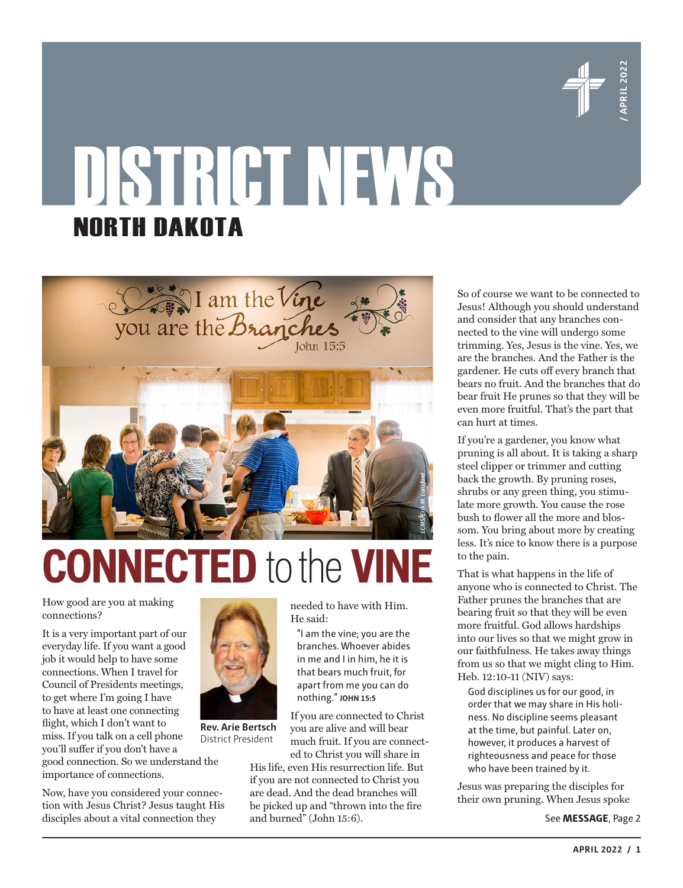

# DISTRICT NEWS NORTH DAKOTA



## **CONNECTED** to the **VINE**

How good are you at making connections?

It is a very important part of our everyday life. If you want a good job it would help to have some connections. When I travel for Council of Presidents meetings, to get where I'm going I have to have at least one connecting flight, which I don't want to miss. If you talk on a cell phone you'll suffer if you don't have a

good connection. So we understand the importance of connections.

Now, have you considered your connection with Jesus Christ? Jesus taught His disciples about a vital connection they

needed to have with Him. He said:

"I am the vine; you are the branches. Whoever abides in me and I in him, he it is that bears much fruit, for apart from me you can do nothing." **JOHN 15:5**

If you are connected to Christ you are alive and will bear much fruit. If you are connected to Christ you will share in

His life, even His resurrection life. But if you are not connected to Christ you are dead. And the dead branches will be picked up and "thrown into the fire and burned" (John 15:6).

**APRIL 2022** / 1<br> **APRIL 2022**<br> **APRIL 2023**<br> **APRIL 2022**<br> **APRIL 2022**<br> **APRIL 2022**<br> **APRIL 2022**<br> **APRIL 2022**<br> **PRIL 2022**<br> **PRIL 2022**<br> **PRIL 2022**<br> **PRIL 2022**<br> **PRIL 2022**<br> **P** So of course we want to be connected to Jesus! Although you should understand and consider that any branches connected to the vine will undergo some trimming. Yes, Jesus is the vine. Yes, we are the branches. And the Father is the gardener. He cuts off every branch that bears no fruit. And the branches that do bear fruit He prunes so that they will be even more fruitful. That's the part that can hurt at times.

If you're a gardener, you know what pruning is all about. It is taking a sharp steel clipper or trimmer and cutting back the growth. By pruning roses, shrubs or any green thing, you stimulate more growth. You cause the rose bush to flower all the more and blossom. You bring about more by creating less. It's nice to know there is a purpose to the pain.

That is what happens in the life of anyone who is connected to Christ. The Father prunes the branches that are bearing fruit so that they will be even more fruitful. God allows hardships into our lives so that we might grow in our faithfulness. He takes away things from us so that we might cling to Him. Heb. 12:10-11 (NIV) says:

God disciplines us for our good, in order that we may share in His holiness. No discipline seems pleasant at the time, but painful. Later on, however, it produces a harvest of righteousness and peace for those who have been trained by it.

Jesus was preparing the disciples for their own pruning. When Jesus spoke

See **MESSAGE**, Page 2



**Rev. Arie Bertsch** District President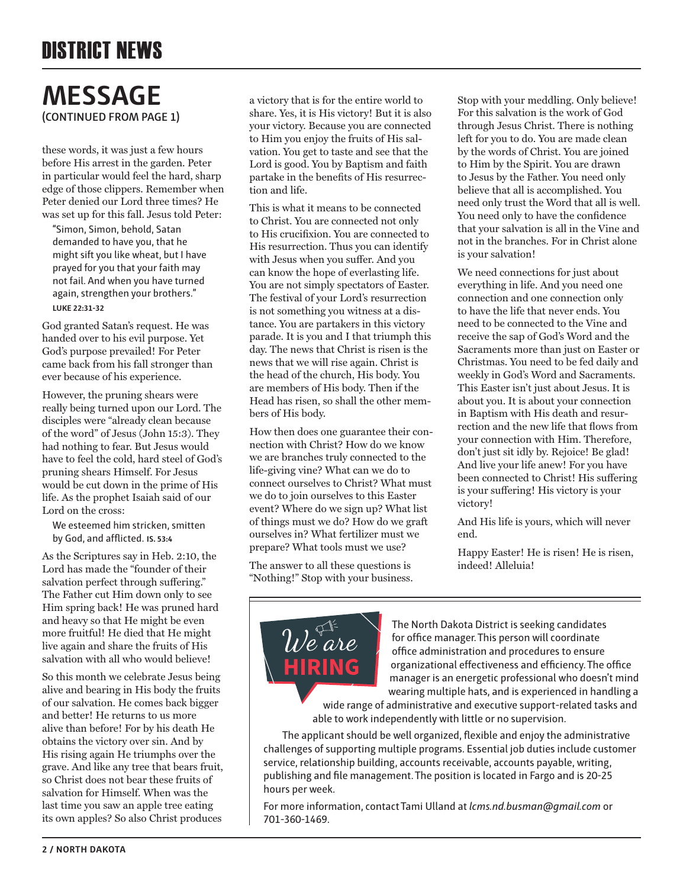#### **MESSAGE (CONTINUED FROM PAGE 1)**

these words, it was just a few hours before His arrest in the garden. Peter in particular would feel the hard, sharp edge of those clippers. Remember when Peter denied our Lord three times? He was set up for this fall. Jesus told Peter:

"Simon, Simon, behold, Satan demanded to have you, that he might sift you like wheat, but I have prayed for you that your faith may not fail. And when you have turned again, strengthen your brothers." **LUKE 22:31-32**

God granted Satan's request. He was handed over to his evil purpose. Yet God's purpose prevailed! For Peter came back from his fall stronger than ever because of his experience.

However, the pruning shears were really being turned upon our Lord. The disciples were "already clean because of the word" of Jesus (John 15:3). They had nothing to fear. But Jesus would have to feel the cold, hard steel of God's pruning shears Himself. For Jesus would be cut down in the prime of His life. As the prophet Isaiah said of our Lord on the cross:

We esteemed him stricken, smitten by God, and afflicted. **IS. 53:4**

As the Scriptures say in Heb. 2:10, the Lord has made the "founder of their salvation perfect through suffering." The Father cut Him down only to see Him spring back! He was pruned hard and heavy so that He might be even more fruitful! He died that He might live again and share the fruits of His salvation with all who would believe!

So this month we celebrate Jesus being alive and bearing in His body the fruits of our salvation. He comes back bigger and better! He returns to us more alive than before! For by his death He obtains the victory over sin. And by His rising again He triumphs over the grave. And like any tree that bears fruit, so Christ does not bear these fruits of salvation for Himself. When was the last time you saw an apple tree eating its own apples? So also Christ produces

a victory that is for the entire world to share. Yes, it is His victory! But it is also your victory. Because you are connected to Him you enjoy the fruits of His salvation. You get to taste and see that the Lord is good. You by Baptism and faith partake in the benefits of His resurrection and life.

This is what it means to be connected to Christ. You are connected not only to His crucifixion. You are connected to His resurrection. Thus you can identify with Jesus when you suffer. And you can know the hope of everlasting life. You are not simply spectators of Easter. The festival of your Lord's resurrection is not something you witness at a distance. You are partakers in this victory parade. It is you and I that triumph this day. The news that Christ is risen is the news that we will rise again. Christ is the head of the church, His body. You are members of His body. Then if the Head has risen, so shall the other members of His body.

How then does one guarantee their connection with Christ? How do we know we are branches truly connected to the life-giving vine? What can we do to connect ourselves to Christ? What must we do to join ourselves to this Easter event? Where do we sign up? What list of things must we do? How do we graft ourselves in? What fertilizer must we prepare? What tools must we use?

The answer to all these questions is "Nothing!" Stop with your business. Stop with your meddling. Only believe! For this salvation is the work of God through Jesus Christ. There is nothing left for you to do. You are made clean by the words of Christ. You are joined to Him by the Spirit. You are drawn to Jesus by the Father. You need only believe that all is accomplished. You need only trust the Word that all is well. You need only to have the confidence that your salvation is all in the Vine and not in the branches. For in Christ alone is your salvation!

We need connections for just about everything in life. And you need one connection and one connection only to have the life that never ends. You need to be connected to the Vine and receive the sap of God's Word and the Sacraments more than just on Easter or Christmas. You need to be fed daily and weekly in God's Word and Sacraments. This Easter isn't just about Jesus. It is about you. It is about your connection in Baptism with His death and resurrection and the new life that flows from your connection with Him. Therefore, don't just sit idly by. Rejoice! Be glad! And live your life anew! For you have been connected to Christ! His suffering is your suffering! His victory is your victory!

And His life is yours, which will never end.

Happy Easter! He is risen! He is risen, indeed! Alleluia!



The North Dakota District is seeking candidates for office manager. This person will coordinate office administration and procedures to ensure organizational effectiveness and efficiency. The office manager is an energetic professional who doesn't mind wearing multiple hats, and is experienced in handling a

wide range of administrative and executive support-related tasks and able to work independently with little or no supervision.

The applicant should be well organized, flexible and enjoy the administrative challenges of supporting multiple programs. Essential job duties include customer service, relationship building, accounts receivable, accounts payable, writing, publishing and file management. The position is located in Fargo and is 20-25 hours per week.

For more information, contact Tami Ulland at *lcms.nd.busman@gmail.com* or 701-360-1469.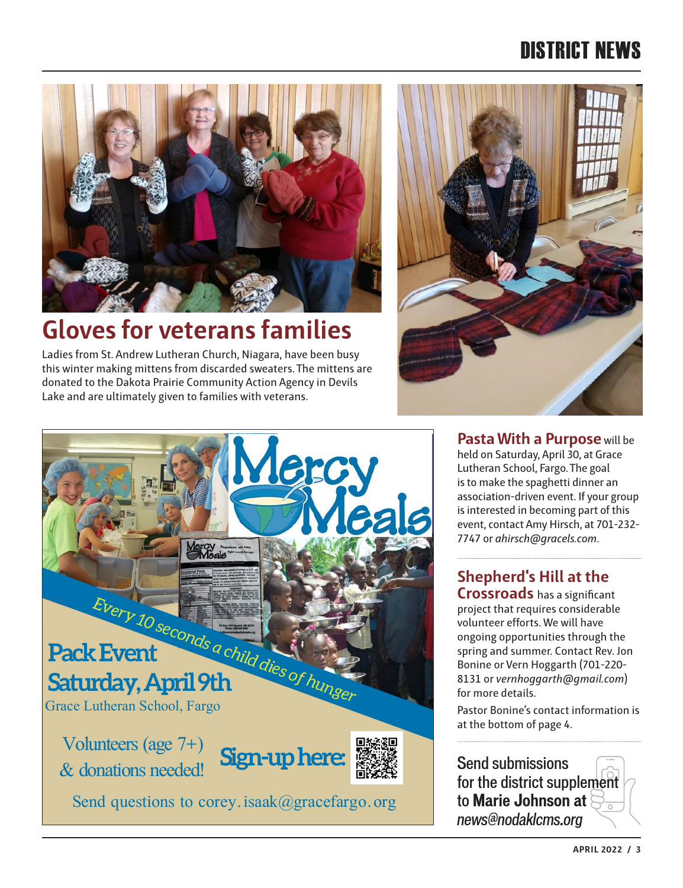### DISTRICT NEWS



### **Gloves for veterans families**

Ladies from St. Andrew Lutheran Church, Niagara, have been busy this winter making mittens from discarded sweaters. The mittens are donated to the Dakota Prairie Community Action Agency in Devils Lake and are ultimately given to families with veterans.





**Pasta With a Purpose** will be held on Saturday, April 30, at Grace Lutheran School, Fargo. The goal is to make the spaghetti dinner an association-driven event. If your group is interested in becoming part of this event, contact Amy Hirsch, at 701-232- 7747 or *ahirsch@gracels.com*.

#### **Shepherd's Hill at the**

**Crossroads** has a significant project that requires considerable volunteer efforts. We will have ongoing opportunities through the spring and summer. Contact Rev. Jon Bonine or Vern Hoggarth (701-220- 8131 or *vernhoggarth@gmail.com*) for more details.

Pastor Bonine's contact information is at the bottom of page 4.

Send submissions for the district supplement to **Marie Johnson at**  *news@nodaklcms.org*